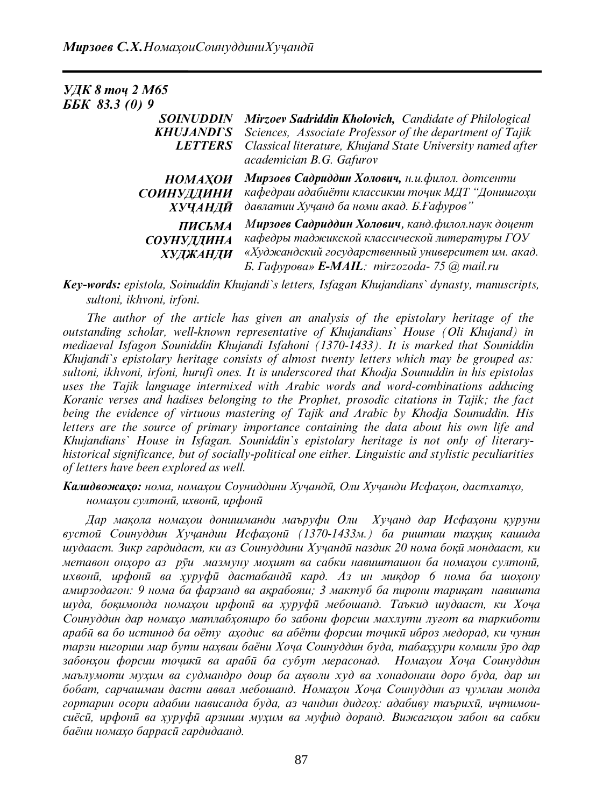| <b>УДК 8 точ 2 М65</b>                                  |                                                                                                                                                                                                              |
|---------------------------------------------------------|--------------------------------------------------------------------------------------------------------------------------------------------------------------------------------------------------------------|
| ББК 83.3 (0) 9                                          |                                                                                                                                                                                                              |
| <b>SOINUDDIN</b><br><b>KHUJANDI`S</b><br><b>LETTERS</b> | Mirzoev Sadriddin Kholovich, Candidate of Philological<br>Sciences, Associate Professor of the department of Tajik<br>Classical literature, Khujand State University named after<br>academician B.G. Gafurov |
| <b>HOMAXOU</b><br>СОИНУДДИНИ<br>ХУЧАНДӢ                 | Мирзоев Садриддин Холович, н.и.филол. дотсенти<br>кафедраи адабиёти классикии точик МДТ "Донишгохи<br>давлатии Хучанд ба номи акад. Б. Ғафуров"                                                              |
| ПИСЬМА<br><b>СОУНУДДИНА</b><br>ХУДЖАНДИ                 | Мирзоев Садриддин Холович, канд.филол.наук доцент<br>кафедры таджикской классической литературы ГОУ<br>«Худжандский государственный университет им. акад.<br>Б. Гафурова» E-MAIL: mirzozoda- 75 @ mail.ru    |

*Key-words: epistola, Soinuddin Khujandi`s letters, Isfagan Khujandians` dynasty, manuscripts, sultoni, ikhvoni, irfoni.* 

*The author of the article has given an analysis of the epistolary heritage of the outstanding scholar, well-known representative of Khujandians` House (Oli Khujand) in mediaeval Isfagon Souniddin Khujandi Isfahoni (1370-1433). It is marked that Souniddin Khujandi`s epistolary heritage consists of almost twenty letters which may be grouped as: sultoni, ikhvoni, irfoni, hurufi ones. It is underscored that Khodja Sounuddin in his epistolas uses the Tajik language intermixed with Arabic words and word-combinations adducing Koranic verses and hadises belonging to the Prophet, prosodic citations in Tajik; the fact being the evidence of virtuous mastering of Tajik and Arabic by Khodja Sounuddin. His letters are the source of primary importance containing the data about his own life and Khujandians` House in Isfagan. Souniddin`s epistolary heritage is not only of literaryhistorical significance, but of socially-political one either. Linguistic and stylistic peculiarities of letters have been explored as well.* 

*Калидвожаҳо: нома, номаҳои Соуниддини Хуҷандӣ, Оли Хуҷанди Исфаҳон, дастхатҳо, номаҳои султонӣ, ихвонӣ, ирфонӣ*

*Дар мақола номаҳои донишманди маъруфи Оли Хуҷанд дар Исфаҳони қуруни вустоӣ Соинуддин Хуҷандии Исфаҳонӣ (1370-1433м.) ба риштаи таҳқиқ кашида шудааст. Зикр гардидаст, ки аз Соинуддини Хуҷандӣ наздик 20 нома боқӣ мондааст, ки* метавон онхоро аз руи мазмуну мохият ва сабки навишташон ба номахои султони, ихвони, ирфони ва хуруфи дастабанди кард. Аз ин микдор 6 нома ба шохону *амирзодагон: 9 нома ба фарзанд ва ақрабояш; 3 мактуб ба пирони тариқат навишта шуда, боқимонда номаҳои ирфонӣ ва ҳуруфӣ мебошанд. Таъкид шудааст, ки Хоҷа Соинуддин дар номаҳо матлабҳояшро бо забони форсии махлути луғот ва таркиботи арабӣ ва бо истинод ба оѐту аҳодис ва абѐти форсии тоҷикӣ иброз медорад, ки чунин тарзи нигориш мар бути наҳваи баѐни Хоҷа Соинуддин буда, табаҳҳури комили ӯро дар забонҳои форсии тоҷикӣ ва арабӣ ба субут мерасонад. Номаҳои Хоҷа Соинуддин маълумоти муҳим ва судмандро доир ба аҳволи худ ва хонадонаш доро буда, дар ин бобат, сарчашмаи дасти аввал мебошанд. Номаҳои Хоҷа Соинуддин аз ҷумлаи монда гортарин осори адабии нависанда буда, аз чандин дидгоҳ: адабиву таърихӣ, иҷтимоисиѐсӣ, ирфонӣ ва ҳуруфӣ арзиши муҳим ва муфид доранд. Вижагиҳои забон ва сабки баѐни номаҳо баррасӣ гардидаанд.*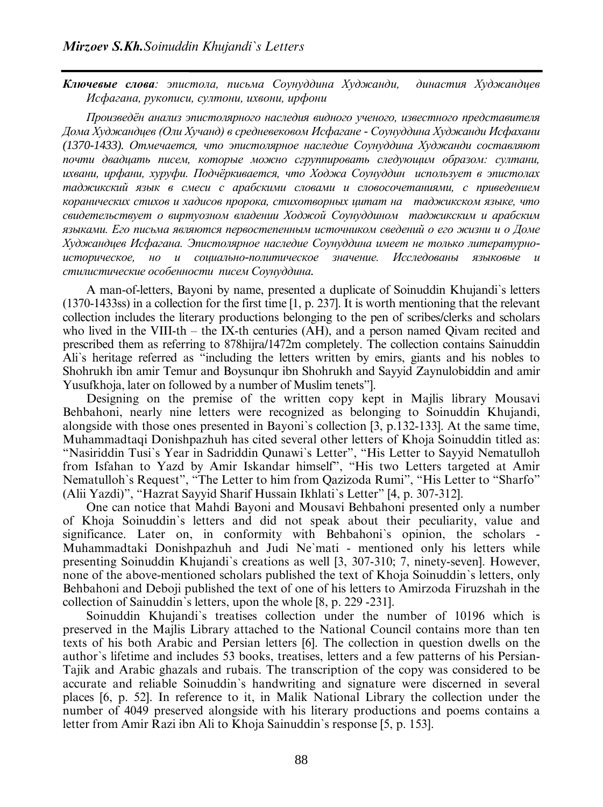*Ключевые слова: эпистола, письма Соунуддина Худжанди, династия Худжандцев Исфагана, рукописи, султони, ихвони, ирфони*

*Произведѐн анализ эпистолярного наследия видного ученого, известного представителя Дома Худжандцев (Оли Хучанд) в средневековом Исфагане - Соунуддина Худжанди Исфахани (1370-1433). Отмечается, что эпистолярное наследие Соунуддина Худжанди составляют почти двадцать писем, которые можно сгруппировать следующим образом: султани, ихвани, ирфани, хуруфи. Подчѐркивается, что Ходжа Соунуддин использует в эпистолах таджикский язык в смеси с арабскими словами и словосочетаниями, с приведением коранических стихов и хадисов пророка, стихотворных цитат на таджикском языке, что свидетельствует о виртуозном владении Ходжой Соунуддином таджикским и арабским языками. Его письма являются первостепенным источником сведений о его жизни и о Доме Худжандцев Исфагана. Эпистолярное наследие Соунуддина имеет не только литературноисторическое, но и социально-политическое значение. Исследованы языковые и стилистические особенности писем Соунуддина.*

A man-of-letters, Bayoni by name, presented a duplicate of Soinuddin Khujandi`s letters (1370-1433ss) in a collection for the first time [1, p. 237]. It is worth mentioning that the relevant collection includes the literary productions belonging to the pen of scribes/clerks and scholars who lived in the VIII-th – the IX-th centuries (AH), and a person named Qivam recited and prescribed them as referring to 878hijra/1472m completely. The collection contains Sainuddin Ali`s heritage referred as "including the letters written by emirs, giants and his nobles to Shohrukh ibn amir Temur and Boysunqur ibn Shohrukh and Sayyid Zaynulobiddin and amir Yusufkhoja, later on followed by a number of Muslim tenets"].

Designing on the premise of the written copy kept in Majlis library Mousavi Behbahoni, nearly nine letters were recognized as belonging to Soinuddin Khujandi, alongside with those ones presented in Bayoni`s collection [3, p.132-133]. At the same time, Muhammadtaqi Donishpazhuh has cited several other letters of Khoja Soinuddin titled as: "Nasiriddin Tusi`s Year in Sadriddin Qunawi`s Letter", "His Letter to Sayyid Nematulloh from Isfahan to Yazd by Amir Iskandar himself", "His two Letters targeted at Amir Nematulloh`s Request", "The Letter to him from Qazizoda Rumi", "His Letter to "Sharfo" (Alii Yazdi)", "Hazrat Sayyid Sharif Hussain Ikhlati`s Letter" [4, p. 307-312].

One can notice that Mahdi Bayoni and Mousavi Behbahoni presented only a number of Khoja Soinuddin`s letters and did not speak about their peculiarity, value and significance. Later on, in conformity with Behbahoni`s opinion, the scholars - Muhammadtaki Donishpazhuh and Judi Ne`mati - mentioned only his letters while presenting Soinuddin Khujandi`s creations as well [3, 307-310; 7, ninety-seven]. However, none of the above-mentioned scholars published the text of Khoja Soinuddin`s letters, only Behbahoni and Deboji published the text of one of his letters to Amirzoda Firuzshah in the collection of Sainuddin`s letters, upon the whole [8, p. 229 -231].

Soinuddin Khujandi`s treatises collection under the number of 10196 which is preserved in the Majlis Library attached to the National Council contains more than ten texts of his both Arabic and Persian letters [6]. The collection in question dwells on the author`s lifetime and includes 53 books, treatises, letters and a few patterns of his Persian-Tajik and Arabic ghazals and rubais. The transcription of the copy was considered to be accurate and reliable Soinuddin`s handwriting and signature were discerned in several places [6, p. 52]. In reference to it, in Malik National Library the collection under the number of 4049 preserved alongside with his literary productions and poems contains a letter from Amir Razi ibn Ali to Khoja Sainuddin`s response [5, p. 153].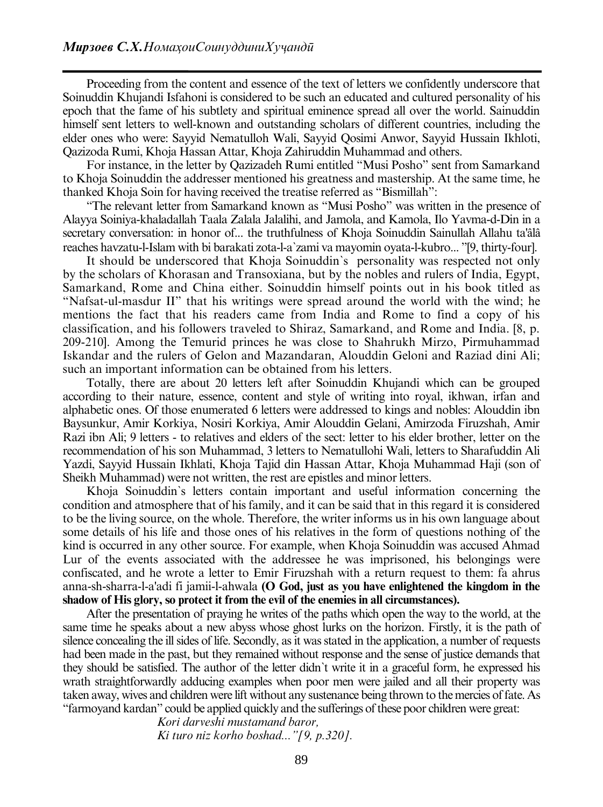Proceeding from the content and essence of the text of letters we confidently underscore that Soinuddin Khujandi Isfahoni is considered to be such an educated and cultured personality of his epoch that the fame of his subtlety and spiritual eminence spread all over the world. Sainuddin himself sent letters to well-known and outstanding scholars of different countries, including the elder ones who were: Sayyid Nematulloh Wali, Sayyid Qosimi Anwor, Sayyid Hussain Ikhloti, Qazizoda Rumi, Khoja Hassan Attar, Khoja Zahiruddin Muhammad and others.

For instance, in the letter by Qazizadeh Rumi entitled "Musi Posho" sent from Samarkand to Khoja Soinuddin the addresser mentioned his greatness and mastership. At the same time, he thanked Khoja Soin for having received the treatise referred as "Bismillah":

"The relevant letter from Samarkand known as "Musi Posho" was written in the presence of Alayya Soiniya-khaladallah Taala Zalala Jalalihi, and Jamola, and Kamola, Ilo Yavma-d-Din in a secretary conversation: in honor of... the truthfulness of Khoja Soinuddin Sainullah Allahu ta'âlâ reaches havzatu-l-Islam with bi barakati zota-l-a`zami va mayomin oyata-l-kubro... "[9, thirty-four].

It should be underscored that Khoja Soinuddin`s personality was respected not only by the scholars of Khorasan and Transoxiana, but by the nobles and rulers of India, Egypt, Samarkand, Rome and China either. Soinuddin himself points out in his book titled as "Nafsat-ul-masdur II" that his writings were spread around the world with the wind; he mentions the fact that his readers came from India and Rome to find a copy of his classification, and his followers traveled to Shiraz, Samarkand, and Rome and India. [8, p. 209-210]. Among the Temurid princes he was close to Shahrukh Mirzo, Pirmuhammad Iskandar and the rulers of Gelon and Mazandaran, Alouddin Geloni and Raziad dini Ali; such an important information can be obtained from his letters.

Totally, there are about 20 letters left after Soinuddin Khujandi which can be grouped according to their nature, essence, content and style of writing into royal, ikhwan, irfan and alphabetic ones. Of those enumerated 6 letters were addressed to kings and nobles: Alouddin ibn Baysunkur, Amir Korkiya, Nosiri Korkiya, Amir Alouddin Gelani, Amirzoda Firuzshah, Amir Razi ibn Ali; 9 letters - to relatives and elders of the sect: letter to his elder brother, letter on the recommendation of his son Muhammad, 3 letters to Nematullohi Wali, letters to Sharafuddin Ali Yazdi, Sayyid Hussain Ikhlati, Khoja Tajid din Hassan Attar, Khoja Muhammad Haji (son of Sheikh Muhammad) were not written, the rest are epistles and minor letters.

Khoja Soinuddin`s letters contain important and useful information concerning the condition and atmosphere that of his family, and it can be said that in this regard it is considered to be the living source, on the whole. Therefore, the writer informs us in his own language about some details of his life and those ones of his relatives in the form of questions nothing of the kind is occurred in any other source. For example, when Khoja Soinuddin was accused Ahmad Lur of the events associated with the addressee he was imprisoned, his belongings were confiscated, and he wrote a letter to Emir Firuzshah with a return request to them: fa ahrus anna-sh-sharra-l-a'adi fi jamii-l-ahwala **(O God, just as you have enlightened the kingdom in the shadow of His glory, so protect it from the evil of the enemies in all circumstances).**

After the presentation of praying he writes of the paths which open the way to the world, at the same time he speaks about a new abyss whose ghost lurks on the horizon. Firstly, it is the path of silence concealing the ill sides of life. Secondly, as it was stated in the application, a number of requests had been made in the past, but they remained without response and the sense of justice demands that they should be satisfied. The author of the letter didn`t write it in a graceful form, he expressed his wrath straightforwardly adducing examples when poor men were jailed and all their property was taken away, wives and children were lift without any sustenance being thrown to the mercies of fate. As "farmoyand kardan" could be applied quickly and the sufferings of these poor children were great:

> *Kori darveshi mustamand baror, Ki turo niz korho boshad..."[9, p.320].*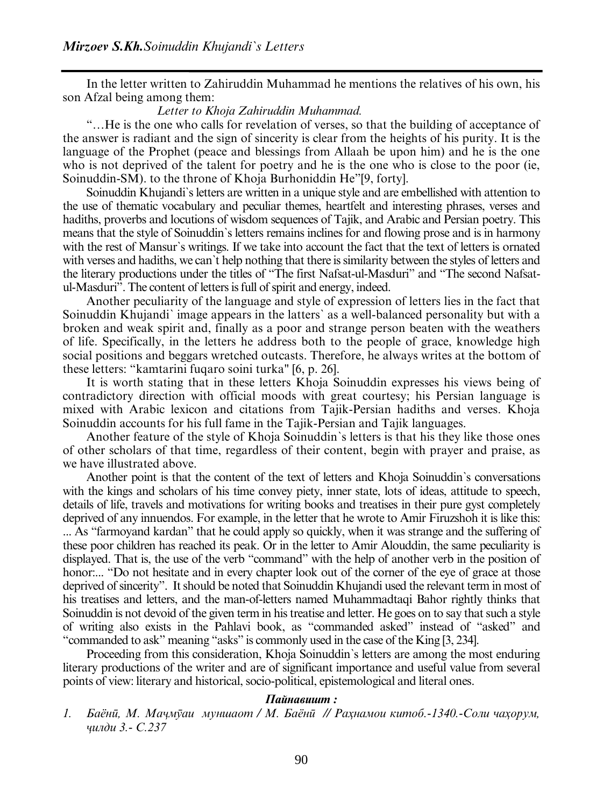In the letter written to Zahiruddin Muhammad he mentions the relatives of his own, his son Afzal being among them:

## *Letter to Khoja Zahiruddin Muhammad.*

"…He is the one who calls for revelation of verses, so that the building of acceptance of the answer is radiant and the sign of sincerity is clear from the heights of his purity. It is the language of the Prophet (peace and blessings from Allaah be upon him) and he is the one who is not deprived of the talent for poetry and he is the one who is close to the poor (ie, Soinuddin-SM). to the throne of Khoja Burhoniddin He"[9, forty].

Soinuddin Khujandi`s letters are written in a unique style and are embellished with attention to the use of thematic vocabulary and peculiar themes, heartfelt and interesting phrases, verses and hadiths, proverbs and locutions of wisdom sequences of Tajik, and Arabic and Persian poetry. This means that the style of Soinuddin`s letters remains inclines for and flowing prose and is in harmony with the rest of Mansur`s writings. If we take into account the fact that the text of letters is ornated with verses and hadiths, we can`t help nothing that there is similarity between the styles of letters and the literary productions under the titles of "The first Nafsat-ul-Masduri" and "The second Nafsatul-Masduri". The content of letters is full of spirit and energy, indeed.

Another peculiarity of the language and style of expression of letters lies in the fact that Soinuddin Khujandi` image appears in the latters` as a well-balanced personality but with a broken and weak spirit and, finally as a poor and strange person beaten with the weathers of life. Specifically, in the letters he address both to the people of grace, knowledge high social positions and beggars wretched outcasts. Therefore, he always writes at the bottom of these letters: "kamtarini fuqaro soini turka" [6, p. 26].

It is worth stating that in these letters Khoja Soinuddin expresses his views being of contradictory direction with official moods with great courtesy; his Persian language is mixed with Arabic lexicon and citations from Tajik-Persian hadiths and verses. Khoja Soinuddin accounts for his full fame in the Tajik-Persian and Tajik languages.

Another feature of the style of Khoja Soinuddin`s letters is that his they like those ones of other scholars of that time, regardless of their content, begin with prayer and praise, as we have illustrated above.

Another point is that the content of the text of letters and Khoja Soinuddin`s conversations with the kings and scholars of his time convey piety, inner state, lots of ideas, attitude to speech, details of life, travels and motivations for writing books and treatises in their pure gyst completely deprived of any innuendos. For example, in the letter that he wrote to Amir Firuzshoh it is like this: ... As "farmoyand kardan" that he could apply so quickly, when it was strange and the suffering of these poor children has reached its peak. Or in the letter to Amir Alouddin, the same peculiarity is displayed. That is, the use of the verb "command" with the help of another verb in the position of honor:... "Do not hesitate and in every chapter look out of the corner of the eye of grace at those deprived of sincerity". It should be noted that Soinuddin Khujandi used the relevant term in most of his treatises and letters, and the man-of-letters named Muhammadtaqi Bahor rightly thinks that Soinuddin is not devoid of the given term in his treatise and letter. He goes on to say that such a style of writing also exists in the Pahlavi book, as "commanded asked" instead of "asked" and "commanded to ask" meaning "asks" is commonly used in the case of the King [3, 234].

Proceeding from this consideration, Khoja Soinuddin`s letters are among the most enduring literary productions of the writer and are of significant importance and useful value from several points of view: literary and historical, socio-political, epistemological and literal ones.

## *Пайнавишт :*

1. Баёни, М. Мачмуаи муншаот / М. Баёни // Рахнамои китоб.-1340.-Соли чахорум, *ҷилди 3.- С.237*